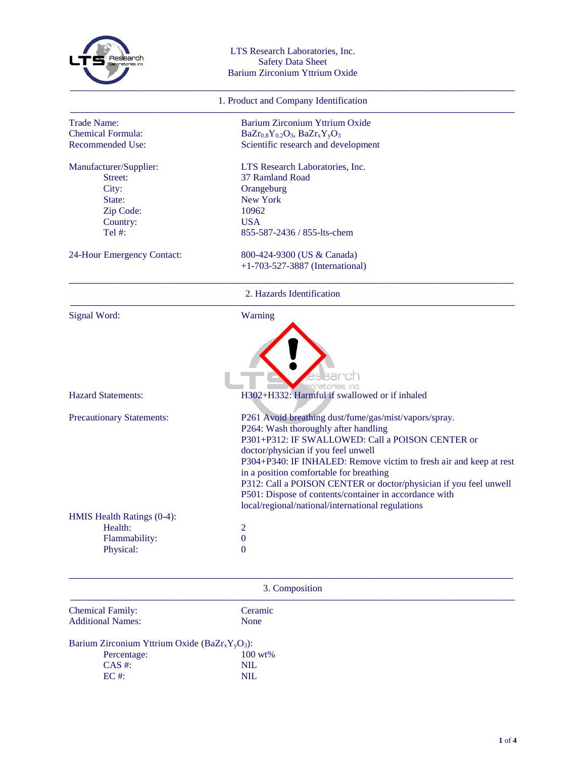

## LTS Research Laboratories, Inc. Safety Data Sheet Barium Zirconium Yttrium Oxide

## 1. Product and Company Identification

| <b>Trade Name:</b>                    | Barium Zirconium Yttrium Oxide                                                                                                                                                                    |
|---------------------------------------|---------------------------------------------------------------------------------------------------------------------------------------------------------------------------------------------------|
| <b>Chemical Formula:</b>              | $BaZr_{0.8}Y_{0.2}O_3$ , $BaZr_xY_yO_3$                                                                                                                                                           |
| <b>Recommended Use:</b>               | Scientific research and development                                                                                                                                                               |
| Manufacturer/Supplier:                | LTS Research Laboratories, Inc.                                                                                                                                                                   |
| Street:                               | 37 Ramland Road                                                                                                                                                                                   |
| City:                                 | Orangeburg                                                                                                                                                                                        |
| State:                                | <b>New York</b>                                                                                                                                                                                   |
| Zip Code:                             | 10962                                                                                                                                                                                             |
| Country:                              | <b>USA</b>                                                                                                                                                                                        |
| Tel #:                                | 855-587-2436 / 855-lts-chem                                                                                                                                                                       |
| 24-Hour Emergency Contact:            | 800-424-9300 (US & Canada)                                                                                                                                                                        |
|                                       | $+1-703-527-3887$ (International)                                                                                                                                                                 |
|                                       | 2. Hazards Identification                                                                                                                                                                         |
|                                       |                                                                                                                                                                                                   |
| <b>Signal Word:</b>                   | Warning                                                                                                                                                                                           |
| <b>Hazard Statements:</b>             | H302+H332: Harmful if swallowed or if inhaled                                                                                                                                                     |
|                                       |                                                                                                                                                                                                   |
| <b>Precautionary Statements:</b>      | P261 Avoid breathing dust/fume/gas/mist/vapors/spray.                                                                                                                                             |
|                                       | P264: Wash thoroughly after handling                                                                                                                                                              |
|                                       | P301+P312: IF SWALLOWED: Call a POISON CENTER or                                                                                                                                                  |
|                                       | doctor/physician if you feel unwell                                                                                                                                                               |
|                                       |                                                                                                                                                                                                   |
|                                       | in a position comfortable for breathing                                                                                                                                                           |
|                                       |                                                                                                                                                                                                   |
|                                       | P304+P340: IF INHALED: Remove victim to fresh air and keep at rest<br>P312: Call a POISON CENTER or doctor/physician if you feel unwell<br>P501: Dispose of contents/container in accordance with |
|                                       | local/regional/national/international regulations                                                                                                                                                 |
| HMIS Health Ratings (0-4):<br>Health: | $\overline{2}$                                                                                                                                                                                    |
| Flammability:                         | $\mathbf{0}$                                                                                                                                                                                      |

## 3. Composition **–––––––––––––––––––––––––––––––––––––––––––––––––––––––––––––––––––––––––––––––––––––––––––––**

| <b>Chemical Family:</b>  |  |
|--------------------------|--|
| <b>Additional Names:</b> |  |

Ceramic None

Barium Zirconium Yttrium Oxide (BaZrxYyO3):

| Percentage: | $100 \text{ wt\%}$ |
|-------------|--------------------|
| $CAS \#$ :  | NIL.               |
| $EC \#$ :   | NIL.               |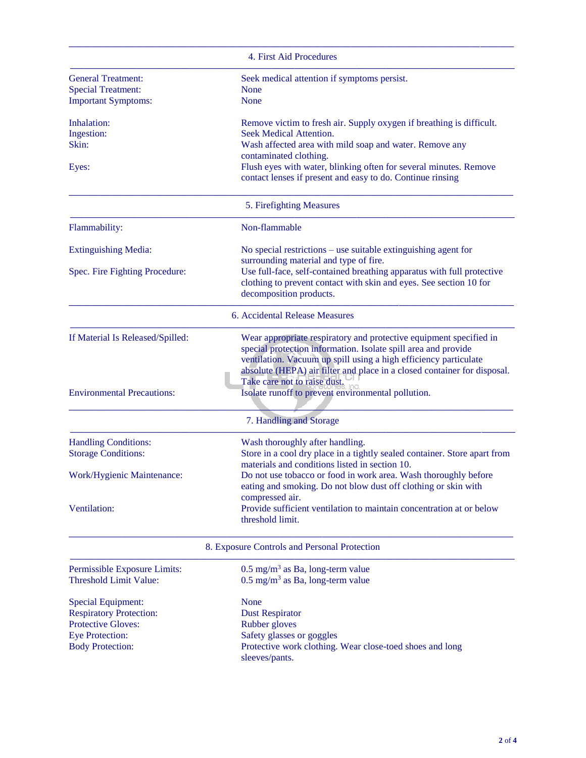|                                   | 4. First Aid Procedures                                                                                                            |
|-----------------------------------|------------------------------------------------------------------------------------------------------------------------------------|
| <b>General Treatment:</b>         | Seek medical attention if symptoms persist.                                                                                        |
| <b>Special Treatment:</b>         | None                                                                                                                               |
| <b>Important Symptoms:</b>        | None                                                                                                                               |
| Inhalation:                       | Remove victim to fresh air. Supply oxygen if breathing is difficult.                                                               |
| Ingestion:                        | Seek Medical Attention.                                                                                                            |
| Skin:                             | Wash affected area with mild soap and water. Remove any                                                                            |
|                                   | contaminated clothing.                                                                                                             |
| Eyes:                             | Flush eyes with water, blinking often for several minutes. Remove<br>contact lenses if present and easy to do. Continue rinsing    |
|                                   | 5. Firefighting Measures                                                                                                           |
| Flammability:                     | Non-flammable                                                                                                                      |
| <b>Extinguishing Media:</b>       | No special restrictions $-$ use suitable extinguishing agent for<br>surrounding material and type of fire.                         |
| Spec. Fire Fighting Procedure:    | Use full-face, self-contained breathing apparatus with full protective                                                             |
|                                   | clothing to prevent contact with skin and eyes. See section 10 for                                                                 |
|                                   | decomposition products.                                                                                                            |
|                                   | 6. Accidental Release Measures                                                                                                     |
| If Material Is Released/Spilled:  | Wear appropriate respiratory and protective equipment specified in                                                                 |
|                                   | special protection information. Isolate spill area and provide<br>ventilation. Vacuum up spill using a high efficiency particulate |
|                                   | absolute (HEPA) air filter and place in a closed container for disposal.                                                           |
|                                   | Take care not to raise dust.                                                                                                       |
| <b>Environmental Precautions:</b> | Isolate runoff to prevent environmental pollution.                                                                                 |
|                                   |                                                                                                                                    |
|                                   | 7. Handling and Storage                                                                                                            |
| <b>Handling Conditions:</b>       | Wash thoroughly after handling.                                                                                                    |
| <b>Storage Conditions:</b>        | Store in a cool dry place in a tightly sealed container. Store apart from                                                          |
|                                   | materials and conditions listed in section 10.                                                                                     |
| Work/Hygienic Maintenance:        | Do not use tobacco or food in work area. Wash thoroughly before                                                                    |
|                                   | eating and smoking. Do not blow dust off clothing or skin with                                                                     |
| Ventilation:                      | compressed air.<br>Provide sufficient ventilation to maintain concentration at or below                                            |
|                                   | threshold limit.                                                                                                                   |
|                                   |                                                                                                                                    |
|                                   | 8. Exposure Controls and Personal Protection                                                                                       |
| Permissible Exposure Limits:      | $0.5 \text{ mg/m}^3$ as Ba, long-term value                                                                                        |
| <b>Threshold Limit Value:</b>     | $0.5$ mg/m <sup>3</sup> as Ba, long-term value                                                                                     |
| <b>Special Equipment:</b>         | None                                                                                                                               |
| <b>Respiratory Protection:</b>    | <b>Dust Respirator</b>                                                                                                             |
| <b>Protective Gloves:</b>         | Rubber gloves                                                                                                                      |
| <b>Eye Protection:</b>            | Safety glasses or goggles                                                                                                          |
| <b>Body Protection:</b>           | Protective work clothing. Wear close-toed shoes and long                                                                           |
|                                   | sleeves/pants.                                                                                                                     |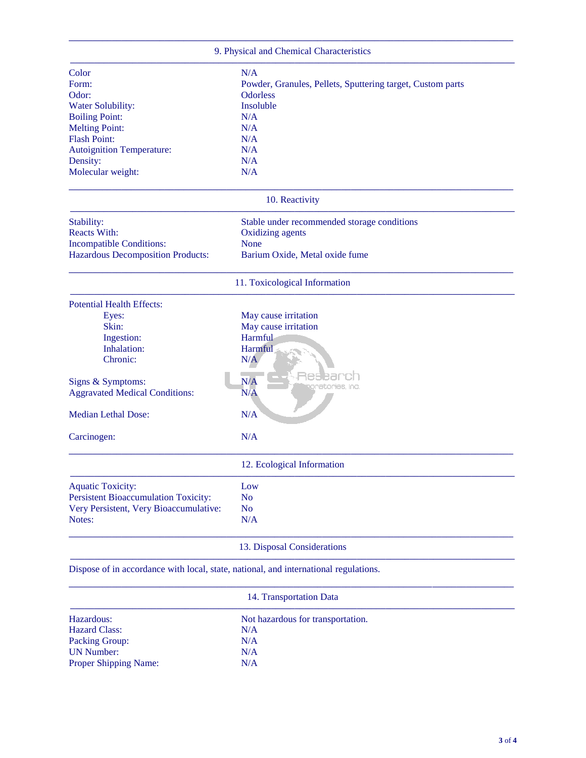|                                                                                      | 9. Physical and Chemical Characteristics                   |
|--------------------------------------------------------------------------------------|------------------------------------------------------------|
| Color                                                                                | N/A                                                        |
| Form:                                                                                | Powder, Granules, Pellets, Sputtering target, Custom parts |
| Odor:                                                                                | <b>Odorless</b>                                            |
| Water Solubility:                                                                    | Insoluble                                                  |
| <b>Boiling Point:</b>                                                                | N/A                                                        |
| <b>Melting Point:</b>                                                                | N/A                                                        |
| <b>Flash Point:</b>                                                                  | N/A                                                        |
| Autoignition Temperature:                                                            | N/A                                                        |
| Density:                                                                             | N/A                                                        |
| Molecular weight:                                                                    | N/A                                                        |
|                                                                                      | 10. Reactivity                                             |
| Stability:                                                                           | Stable under recommended storage conditions                |
| <b>Reacts With:</b>                                                                  | <b>Oxidizing agents</b>                                    |
| <b>Incompatible Conditions:</b>                                                      | None                                                       |
| <b>Hazardous Decomposition Products:</b>                                             | Barium Oxide, Metal oxide fume                             |
|                                                                                      | 11. Toxicological Information                              |
| <b>Potential Health Effects:</b>                                                     |                                                            |
| Eyes:                                                                                | May cause irritation                                       |
| Skin:                                                                                | May cause irritation                                       |
| Ingestion:                                                                           | Harmful                                                    |
| Inhalation:                                                                          | Harmful                                                    |
| Chronic:                                                                             | N/A                                                        |
|                                                                                      |                                                            |
| Signs & Symptoms:                                                                    | N/A<br>etories, Inc.                                       |
| <b>Aggravated Medical Conditions:</b>                                                | N/A                                                        |
| <b>Median Lethal Dose:</b>                                                           | N/A                                                        |
|                                                                                      |                                                            |
| Carcinogen:                                                                          | N/A                                                        |
|                                                                                      | 12. Ecological Information                                 |
| <b>Aquatic Toxicity:</b>                                                             | Low                                                        |
| <b>Persistent Bioaccumulation Toxicity:</b>                                          | N <sub>o</sub>                                             |
| Very Persistent, Very Bioaccumulative:                                               | N <sub>o</sub>                                             |
| Notes:                                                                               | N/A                                                        |
|                                                                                      | 13. Disposal Considerations                                |
| Dispose of in accordance with local, state, national, and international regulations. |                                                            |
|                                                                                      | 14. Transportation Data                                    |

| Hazardous:                   | Not hazardous for transportation. |  |
|------------------------------|-----------------------------------|--|
| <b>Hazard Class:</b>         | N/A                               |  |
| <b>Packing Group:</b>        | N/A                               |  |
| <b>UN Number:</b>            | N/A                               |  |
| <b>Proper Shipping Name:</b> | N/A                               |  |
|                              |                                   |  |